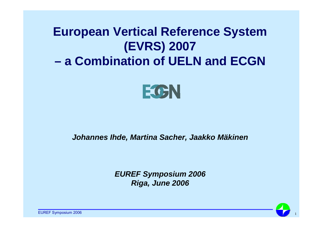## **European Vertical Reference System (EVRS) 2007 – a Combination of UELN and ECGN**



#### *Johannes Ihde, Martina Sacher, Jaakko Mäkinen*

*EUREF Symposium 2006 Riga, June 2006* 



**EUREF Symposium 2006**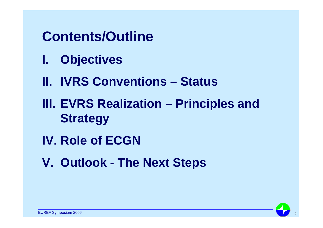## **Contents/Outline**

- **I. Objectives**
- **II. IVRS Conventions – Status**
- **III. EVRS Realization – Principles and Strategy**
- **IV. Role of ECGN**
- **V. Outlook - The Next Steps**

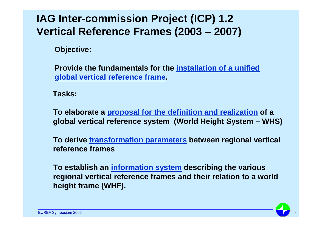### **IAG Inter-commission Project (ICP) 1.2 Vertical Reference Frames (2003 – 2007)**

**Objective:**

**Provide the fundamentals for the installation of a unified global vertical reference frame.**

**Tasks:**

**To elaborate a proposal for the definition and realization of a global vertical reference system (World Height System – WHS)**

**To derive transformation parameters between regional vertical reference frames**

**To establish an information system describing the various regional vertical reference frames and their relation to a world height frame (WHF).**

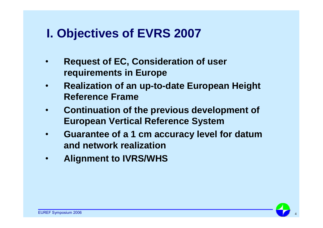## **I. Objectives of EVRS 2007**

- • **Request of EC, Consideration of user requirements in Europe**
- • **Realization of an up-to-date European Height Reference Frame**
- • **Continuation of the previous development of European Vertical Reference System**
- $\bullet$  **Guarantee of a 1 cm accuracy level for datum and network realization**
- •**Alignment to IVRS/WHS**

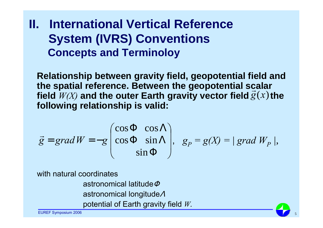## **II. International Vertical Reference System (IVRS) Conventions Concepts and Terminoloy**

**Relationship between gravity field, geopotential field and the spatial reference. Between the geopotential scalar**  field  $\overline{W}(X)$  and the outer Earth gravity vector field  $\vec{g}(x)$  the **following relationship is valid:**

$$
\vec{g} = grad W = -g \begin{pmatrix} \cos \Phi & \cos \Lambda \\ \cos \Phi & \sin \Lambda \\ \sin \Phi \end{pmatrix}, \quad g_p = g(X) = | grad W_p |,
$$

with natural coordinates

astronomical latitude $\Phi$ astronomical longitudeΛ potential of Earth gravity field *W.*

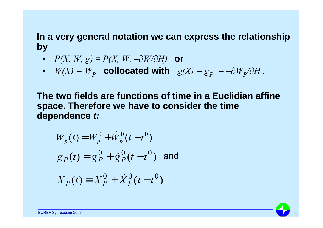#### **In a very general notation we can express the relationship by**

- *P(X, W, g)* = *P(X, W, –∂W/∂H)* **or**
- $W(X) = W_P$  collocated with  $g(X) = g_P = -\partial W_P / \partial H$ .

**The two fields are functions of time in a Euclidian affine space. Therefore we have to consider the time dependence** *t:*

$$
W_p(t) = W_p^0 + \dot{W}_p^0(t - t^0)
$$
  
\n
$$
g_p(t) = g_p^0 + \dot{g}_p^0(t - t^0)
$$
 and  
\n
$$
X_p(t) = X_p^0 + \dot{X}_p^0(t - t^0)
$$

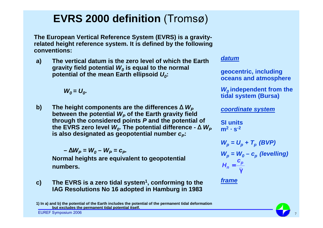### **EVRS 2000 definition** (Tromsø)

**The European Vertical Reference System (EVRS) is a gravityrelated height reference system. It is defined by the following conventions:**

**a) The vertical datum is the zero level of which the Earth gravity field potential**  $W_0$  **is equal to the normal potential of the mean Earth ellipsoid**  $U<sub>0</sub>$ **:** 

 $W_0 = U_0$ .

**b)** The height components are the differences  $\Delta W_p$ **between the potential**  $W_p$  **of the Earth gravity field through the considered points** *P* **and the potential of the EVRS zero level**  $W_0$ **. The potential difference - ∆**  $W_P$ **is also designated as geopotential number**  $c_p$ **:** 

 $-\Delta$   $W_P^{}=W_O^{}-W_P^{}=\mathcal{C}_P.$ **Normal heights are equivalent to geopotential numbers.**

**c)** The EVRS is a zero tidal system<sup>1</sup>, conforming to the **IAG Resolutions No 16 adopted in Hamburg in 1983**

#### *datum*

**geocentric, including oceans and atmosphere**

*W***<sub>0</sub>** independent from the **tidal system (Bursa)**

*coordinate system*

**SI units <sup>m</sup><sup>2</sup> · s-<sup>2</sup>**

$$
W_p = U_p + T_p \text{ (BVP)}
$$
\n
$$
W_p = W_0 - c_p \text{ (levelling)}
$$
\n
$$
H_n = \frac{c_p}{\overline{\gamma}}
$$

*frame*



EUREF Symposium 2006

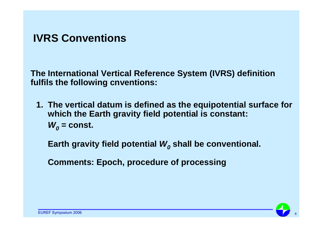#### **IVRS Conventions**

**The International Vertical Reference System (IVRS) definition fulfils the following cnventions:**

**1. The vertical datum is defined as the equipotential surface for which the Earth gravity field potential is constant:**  $W<sub>o</sub>$  = const.

Earth gravity field potential  $W_0$  shall be conventional.

**Comments: Epoch, procedure of processing**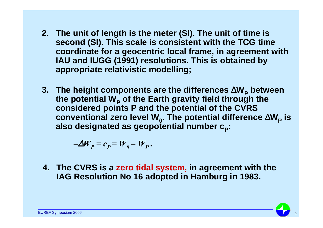- **2. The unit of length is the meter (SI). The unit of time is second (SI). This scale is consistent with the TCG time coordinate for a geocentric local frame, in agreement with IAU and IUGG (1991) resolutions. This is obtained by appropriate relativistic modelling;**
- **3. The height components are the differences** ∆**WP between**  the potential W<sub>p</sub> of the Earth gravity field through the **considered points P and the potential of the CVRS conventional zero level W0. The potential difference** ∆**WP is also designated as geopotential number cP:**

$$
-\Delta W_P = c_P = W_0 - W_P.
$$

**4. The CVRS is a zero tidal system, in agreement with the IAG Resolution No 16 adopted in Hamburg in 1983.**

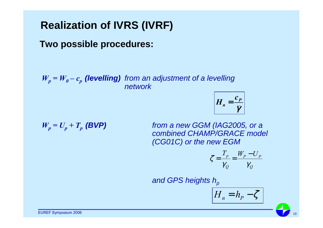### **Realization of IVRS (IVRF)**

#### **Two possible procedures:**

 $W_p = W_0 - c_p$  (levelling) from an adjustment of a levelling network

$$
H_n = \frac{c_p}{\bar{\gamma}}
$$

$$
W_p = U_p + T_p \text{ (BVP)}
$$

*from a new GGM (IAG2005, or a combined CHAMP/GRACE model (CG01C) or the new EGM*

$$
\zeta = \frac{T_p}{\gamma_Q} = \frac{W_p - U_p}{\gamma_Q}
$$

and GPS heights  $h_p$ 

$$
\overline{H_n} = h_p - \zeta
$$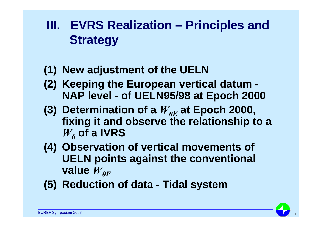## **III. EVRS Realization – Principles and Strategy**

- **(1) New adjustment of the UELN**
- **(2) Keeping the European vertical datum - NAP level - of UELN95/98 at Epoch 2000**
- **(3) Determination of a**  $W_{0E}$  **at Epoch 2000, fixing it and observe the relationship to a**   $W<sub>0</sub>$  of a IVRS
- **(4) Observation of vertical movements of UELN points against the conventional value**  $W_{0E}$
- **(5) Reduction of data - Tidal system**

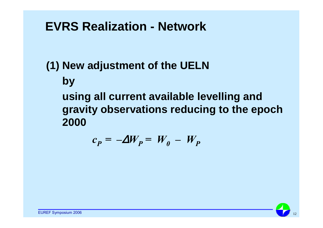### **EVRS Realization - Network**

## **(1) New adjustment of the UELN**

**by** 

**using all current available levelling and gravity observations reducing to the epoch 2000**

$$
c_P = -\Delta W_P = W_0 - W_P
$$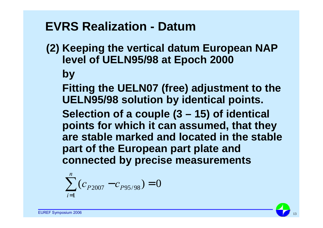### **EVRS Realization - Datum**

- **(2) Keeping the vertical datum European NAP level of UELN95/98 at Epoch 2000 by** 
	- **Fitting the UELN07 (free) adjustment to the UELN95/98 solution by identical points.**
	- **Selection of a couple (3 – 15) of identical points for which it can assumed, that they are stable marked and located in the stable part of the European part plate and connected by precise measurements**

$$
\sum_{i=1}^{n} (c_{P2007} - c_{P95/98}) = 0
$$

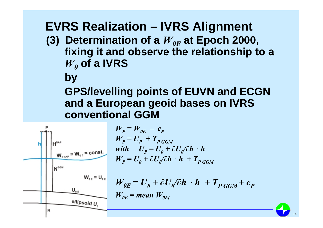## **EVRS Realization – IVRS Alignment**

**(3) Determination of a**  $W_{0E}$  **at Epoch 2000, fixing it and observe the relationship to a**   $W<sub>0</sub>$  of a IVRS

**by**

**GPS/levelling points of EUVN and ECGN and a European geoid bases on IVRS conventional GGM**

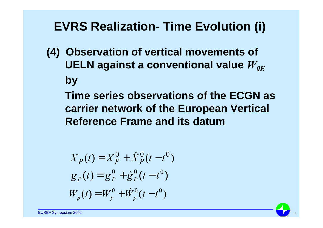## **EVRS Realization- Time Evolution (i)**

**(4) Observation of vertical movements of UELN against a conventional value**  $W_{0E}$ **by** 

**Time series observations of the ECGN as carrier network of the European Vertical Reference Frame and its datum**

$$
X_P(t) = X_P^0 + \dot{X}_P^0(t - t^0)
$$
  
\n
$$
g_P(t) = g_P^0 + \dot{g}_P^0(t - t^0)
$$
  
\n
$$
W_p(t) = W_p^0 + \dot{W}_p^0(t - t^0)
$$

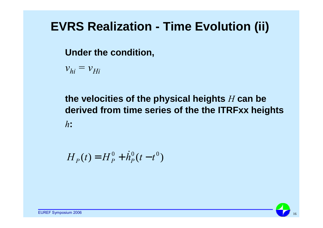## **EVRS Realization - Time Evolution (ii)**

**Under the condition,**

 $v_{hi} = v_{Hi}$ 

**the velocities of the physical heights** *H* **can be derived from time series of the the ITRFxx heights**  *h***:**

 $H_p(t) = H_p^0 + \dot{h}_p^0 (t - t^0)$ 

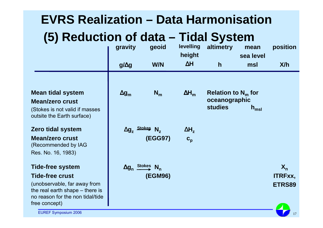#### $X_n$ **ITRFxx, ETRS89**  $\Delta$ **g**<sub>n</sub>  $\xrightarrow{\text{Stokes}}$  **N**<sub>n</sub> **(EGM96) Tide-free system Tide-free crust** (unobservable, far away from the real earth shape – there is no reason for the non tidal/tide free concept) ∆**Hz**  $c_n$ <sup>∆</sup>**gz Stokes Nz (EGG97) Zero tidal system Mean/zero crust** (Recommended by IAG Res. No. 16, 1983) **Relation to N<sub>m</sub> for oceanographic** studies **h**<sub>msl</sub> **Mean tidal** system  $\Delta g_m$   $N_m$   $\Delta H_m$ **Mean/zero crust** (Stokes is not valid if masses outsite the Earth surface) **position X/h mean sea level msl altimetry h levelling height** ∆**H geoid W/N gravity g/**∆**g (5) Reduction of data – Tidal System EVRS Realization – Data Harmonisation**

**EUREF Symposium 2006**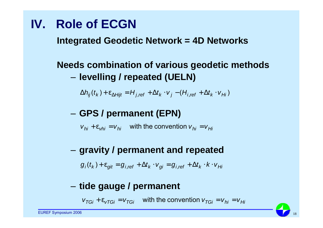### **IV. Role of ECGN**

**Integrated Geodetic Network = 4D Networks**

#### **Needs combination of various geodetic methods** –**levelling / repeated (UELN)**

 $\Delta h_{ii}(t_k) + \varepsilon_{\Delta H i i t} = H_{i, ref} + \Delta t_k \cdot v_i - (H_{i, ref} + \Delta t_k \cdot v_{Hi})$ 

#### –**GPS / permanent (EPN)**

 $v_{hi} + \varepsilon_{vhi} = v_{hi}$  with the convention  $v_{hi} = v_{Hi}$ 

#### –**gravity / permanent and repeated**

 $g_i(t_k) + \varepsilon_{\text{git}} = g_{i,\text{ref}} + \Delta t_k \cdot v_{\text{g}i} = g_{i,\text{ref}} + \Delta t_k \cdot k \cdot v_{\text{H}i}$ 

#### –**tide gauge / permanent**

 $v_{TGi} + \varepsilon_{vTGi} = v_{TGi}$  with the convention  $v_{TGi} = v_{hi} = v_{Hi}$ 

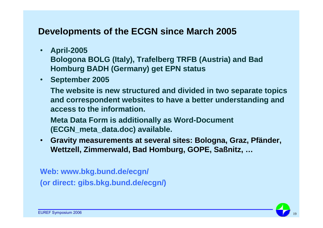#### **Developments of the ECGN since March 2005**

• **April-2005**

**Bologona BOLG (Italy), Trafelberg TRFB (Austria) and Bad Homburg BADH (Germany) get EPN status**

• **September 2005**

**The website is new structured and divided in two separate topics and correspondent websites to have a better understanding and access to the information.**

**Meta Data Form is additionally as Word-Document (ECGN\_meta\_data.doc) available.**

 $\bullet$  **Gravity measurements at several sites: Bologna, Graz, Pfänder, Wettzell, Zimmerwald, Bad Homburg, GOPE, Saßnitz, …**

**Web: www.bkg.bund.de/ecgn/ (or direct: gibs.bkg.bund.de/ecgn/)**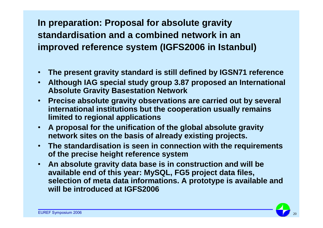#### **In preparation: Proposal for absolute gravity standardisation and a combined network in an improved reference system (IGFS2006 in Istanbul)**

- **The present gravity standard is still defined by IGSN71 reference**
- **Although IAG special study group 3.87 proposed an International Absolute Gravity Basestation Network**
- **Precise absolute gravity observations are carried out by several international institutions but the cooperation usually remains limited to regional applications**
- **A proposal for the unification of the global absolute gravity network sites on the basis of already existing projects.**
- **The standardisation is seen in connection with the requirements of the precise height reference system**
- **An absolute gravity data base is in construction and will be available end of this year: MySQL, FG5 project data files, selection of meta data informations. A prototype is available and will be introduced at IGFS2006**

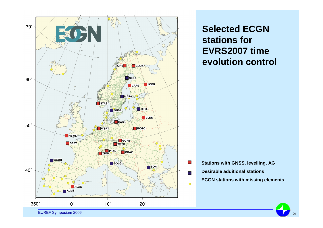

**Selected ECGN stations for EVRS2007 time evolution control** 

**Stations with GNSS, levelling, AG Desirable additional stations ECGN stations with missing elements**

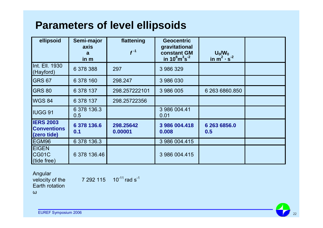#### **Parameters of level ellipsoids**

| ellipsoid                                             | Semi-major<br>axis<br>a<br>in m | flattening<br>$f^{-1}$ | <b>Geocentric</b><br>gravitational<br><b>constant GM</b><br>in $10^8 \text{m}^3 \text{s}^{-2}$ | $U_0/W_0$<br>in $m^2 \cdot s^{-2}$ |  |
|-------------------------------------------------------|---------------------------------|------------------------|------------------------------------------------------------------------------------------------|------------------------------------|--|
| Int. Ell. 1930<br>(Hayford)                           | 6 378 388                       | 297                    | 3 986 329                                                                                      |                                    |  |
| <b>GRS 67</b>                                         | 6 378 160                       | 298.247                | 3 986 030                                                                                      |                                    |  |
| <b>GRS 80</b>                                         | 6 378 137                       | 298.257222101          | 3 986 005                                                                                      | 6 263 6860.850                     |  |
| <b>WGS 84</b>                                         | 6 378 137                       | 298.25722356           |                                                                                                |                                    |  |
| <b>IUGG 91</b>                                        | 6 378 136.3<br>0.5              |                        | 3 986 004.41<br>0.01                                                                           |                                    |  |
| <b>IERS 2003</b><br><b>Conventions</b><br>(zero tide) | 6 378 136.6<br>0.1              | 298.25642<br>0.00001   | 3 986 004.418<br>0.008                                                                         | 6 263 6856.0<br>0.5                |  |
| EGM96                                                 | 6 378 136.3                     |                        | 3 986 004.415                                                                                  |                                    |  |
| <b>EIGEN</b><br>CG01C<br>(tide free)                  | 6 378 136.46                    |                        | 3 986 004.415                                                                                  |                                    |  |

Angular

velocity of the Earth rotation

7 292 115  $10^{-11}$  rad s<sup>-1</sup>

ω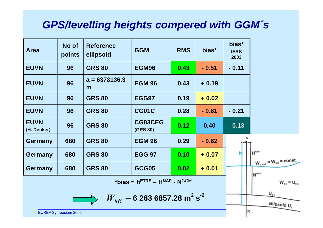### *GPS/levelling heights compered with GGM´s*

| <b>Area</b>                | No of<br>points             | <b>Reference</b><br>ellipsoid | <b>GGM</b>                                 | <b>RMS</b> | bias*   | bias*<br><b>IERS</b><br>2003 |                                                                       |
|----------------------------|-----------------------------|-------------------------------|--------------------------------------------|------------|---------|------------------------------|-----------------------------------------------------------------------|
| <b>EUVN</b>                | 96                          | <b>GRS 80</b>                 | EGM96                                      | 0.43       | $-0.51$ | $-0.11$                      |                                                                       |
| <b>EUVN</b>                | 96                          | $a = 6378136.3$<br>m          | <b>EGM 96</b>                              | 0.43       | $+0.19$ |                              |                                                                       |
| <b>EUVN</b>                | 96                          | <b>GRS 80</b>                 | EGG97                                      | 0.19       | $+0.02$ |                              |                                                                       |
| <b>EUVN</b>                | 96                          | <b>GRS 80</b>                 | <b>CG01C</b>                               | 0.28       | $-0.61$ | $-0.21$                      |                                                                       |
| <b>EUVN</b><br>(H. Denker) | 96                          | <b>GRS 80</b>                 | <b>CG03CEG</b><br>(GRS 80)                 | 0.12       | 0.40    | $-0.13$                      |                                                                       |
| Germany                    | 680                         | <b>GRS 80</b>                 | <b>EGM 96</b>                              | 0.29       | $-0.62$ |                              |                                                                       |
| Germany                    | 680                         | <b>GRS 80</b>                 | <b>EGG 97</b>                              | 0.10       | $+0.07$ |                              | H <sup>NAP</sup>                                                      |
| Germany                    | 680                         | <b>GRS 80</b>                 | GCG05                                      | 0.02       | $+0.01$ |                              | $W_{\text{gauge}} = W_{\text{g}} = \text{const.}$<br>N <sup>GGM</sup> |
|                            |                             |                               | $W_{\alpha E} = U_{\alpha E}$              |            |         |                              |                                                                       |
|                            | <b>EUREF Symposium 2006</b> | R                             | $U_{\alpha x}$<br>ellipsoid U <sub>s</sub> |            |         |                              |                                                                       |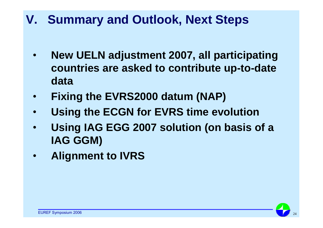## **V. Summary and Outlook, Next Steps**

- • **New UELN adjustment 2007, all participating countries are asked to contribute up-to-date data**
- •**Fixing the EVRS2000 datum (NAP)**
- •**Using the ECGN for EVRS time evolution**
- • **Using IAG EGG 2007 solution (on basis of a IAG GGM)**
- $\bullet$ **Alignment to IVRS**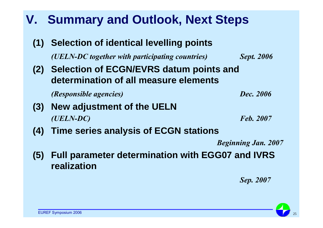# **V. Summary and Outlook, Next Steps**

**(1) Selection of identical levelling points** *(UELN-DC together with participating countries) Sept. 2006* **(2) Selection of ECGN/EVRS datum points and determination of all measure elements**

*(Responsible agencies) Dec. 2006*

#### **(3) New adjustment of the UELN** *(UELN-DC) Feb. 2007*

**(4) Time series analysis of ECGN stations**

*Beginning Jan. 2007*

**(5) Full parameter determination with EGG07 and IVRS realization**

*Sep. 2007*